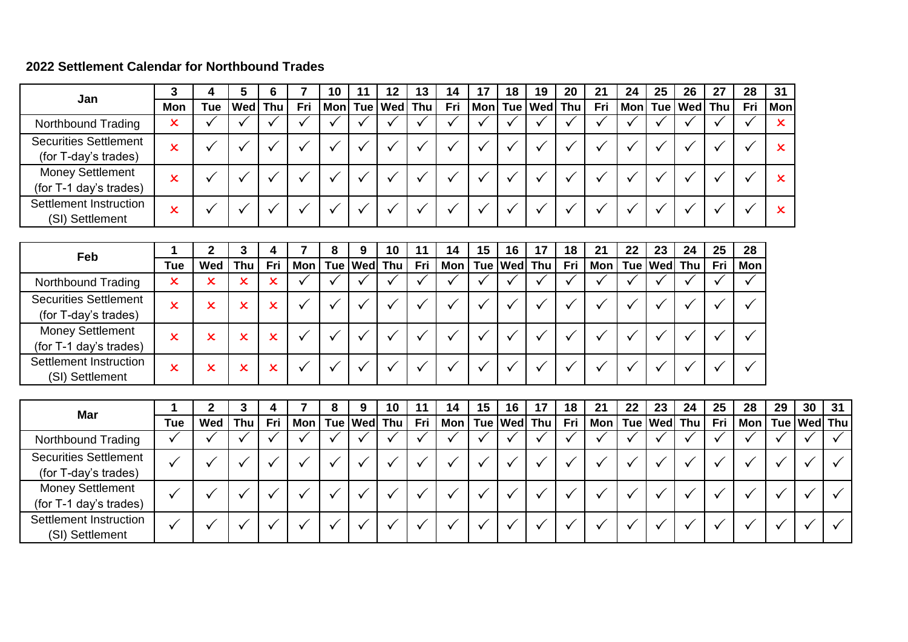## **2022 Settlement Calendar for Northbound Trades**

| Jan                                                  |        | 4   | 6              |     | 10 | 12                | 13 | 14  | 17                  | 18 | 19 | 20 | 21  | 24 | 25 | 26                   | 27 | 28  | 31  |
|------------------------------------------------------|--------|-----|----------------|-----|----|-------------------|----|-----|---------------------|----|----|----|-----|----|----|----------------------|----|-----|-----|
|                                                      | Mon    | Tue | <b>Wed</b> Thu | Fri |    | Mon  Tue Wed  Thu |    | Fri | Mon Tue   Wed   Thu |    |    |    | Fri |    |    | Mon  Tue   Wed   Thu |    | Fri | Mon |
| Northbound Trading                                   | ×      |     |                |     |    |                   |    |     |                     |    |    |    |     |    |    |                      |    |     |     |
| <b>Securities Settlement</b><br>(for T-day's trades) |        |     |                |     |    |                   |    |     |                     |    |    |    |     |    |    |                      |    |     |     |
| <b>Money Settlement</b><br>(for T-1 day's trades)    | v<br>ᄉ |     |                |     |    |                   |    |     |                     |    |    |    |     |    |    |                      |    |     |     |
| Settlement Instruction<br>(SI) Settlement            | ᄉ      |     |                |     |    |                   |    |     |                     |    |    |    |     |    |    |                      |    |     |     |

| Feb                                                  |     |     | າ<br>J |     |            | o | 9 | 10          | 11  | 14 | 15 | 16 | 17                    | 18  | 21         | 22 | 23 | 24          | 25  | 28  |
|------------------------------------------------------|-----|-----|--------|-----|------------|---|---|-------------|-----|----|----|----|-----------------------|-----|------------|----|----|-------------|-----|-----|
|                                                      | Tue | Wed | Thu    | Fri | <b>Mon</b> |   |   | Tue Wed Thu | Fri |    |    |    | Mon   Tue   Wed   Thu | Fri | <b>Mon</b> |    |    | Tue Wed Thu | Fri | Mon |
| Northbound Trading                                   | x   |     | x      |     |            |   |   |             |     |    |    |    |                       |     |            |    |    |             |     |     |
| <b>Securities Settlement</b><br>(for T-day's trades) | x   | x   | x      | x   |            |   |   |             |     |    |    |    |                       |     |            |    |    |             |     |     |
| <b>Money Settlement</b><br>(for T-1 day's trades)    | x   |     | x      | x   |            |   |   |             |     |    |    |    |                       |     |            |    |    |             |     |     |
| Settlement Instruction<br>(SI) Settlement            | x   |     | x      | x   |            |   |   |             |     |    |    |    |                       |     |            |    |    |             |     |     |

| Mar                          |     |     | J          |     |       | 8 | 10              | 11  | 14  | 15 | 16 | 17              | 18  | 21    | 22 | 23 | 24              | 25  | 28    | 29              | 30 | 31 |
|------------------------------|-----|-----|------------|-----|-------|---|-----------------|-----|-----|----|----|-----------------|-----|-------|----|----|-----------------|-----|-------|-----------------|----|----|
|                              | Tue | Wed | <b>Thu</b> | Fri | Mon l |   | Tue   Wed   Thu | Fri | Mon |    |    | Tue   Wed   Thu | Fri | Mon l |    |    | Tue   Wed   Thu | Fri | Mon l | Tue   Wed   Thu |    |    |
| Northbound Trading           |     |     |            |     |       |   |                 |     |     |    |    |                 |     |       |    |    |                 |     |       |                 |    |    |
| <b>Securities Settlement</b> |     |     |            |     |       |   |                 |     |     |    |    |                 |     |       |    |    |                 |     |       |                 |    |    |
| (for T-day's trades)         |     |     |            |     |       |   |                 |     |     |    |    |                 |     |       |    |    |                 |     |       |                 |    |    |
| <b>Money Settlement</b>      |     |     |            |     |       |   |                 |     |     |    |    |                 |     |       |    |    |                 |     |       |                 |    |    |
| (for T-1 day's trades)       |     |     |            |     |       |   |                 |     |     |    |    |                 |     |       |    |    |                 |     |       |                 |    |    |
| Settlement Instruction       |     |     |            |     |       |   |                 |     |     |    |    |                 |     |       |    |    |                 |     |       |                 |    |    |
| (SI) Settlement              |     |     |            |     |       |   |                 |     |     |    |    |                 |     |       |    |    |                 |     |       |                 |    |    |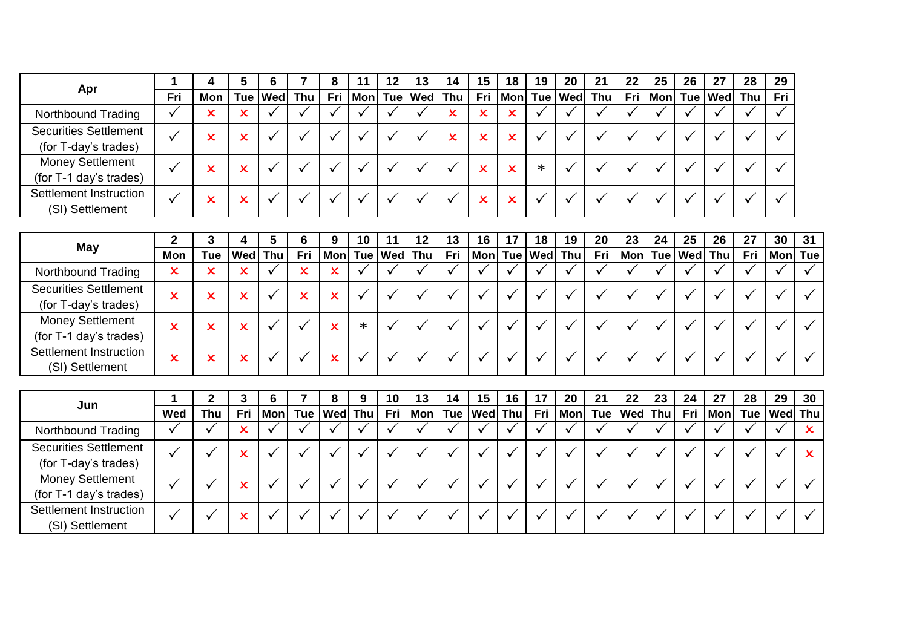|                                                      |     | 4      | 6         |     | 8   |            | 12 | 13        | 14  | 15 | 18       | 19     | 20        | 21  | 22  | 25         | 26 | 27        | 28  | 29  |
|------------------------------------------------------|-----|--------|-----------|-----|-----|------------|----|-----------|-----|----|----------|--------|-----------|-----|-----|------------|----|-----------|-----|-----|
| Apr                                                  | Fri | Mon    | Tue   Wed | Thu | Fri | <b>Mon</b> |    | Tue   Wed | Thu |    | Fri Monl |        | Tue   Wed | Thu | Fri | <b>Mon</b> |    | Tue   Wed | Thu | Fri |
| Northbound Trading                                   |     | X      |           |     |     |            |    |           |     |    | x        | v      |           |     |     |            |    |           |     |     |
| <b>Securities Settlement</b><br>(for T-day's trades) |     | x      |           |     |     |            |    |           |     | x  | X.       |        |           |     |     |            |    |           |     |     |
| <b>Money Settlement</b><br>(for T-1 day's trades)    |     | x      |           |     |     |            |    |           |     |    | x        | $\ast$ |           |     |     |            |    |           |     |     |
| Settlement Instruction<br>(SI) Settlement            |     | v<br>ᄉ |           |     |     |            |    |           |     |    | x        |        |           |     |     |            |    |           |     |     |

|                                                      |        |     |     | э          | 6   | 9 | 10     | 11                  | 12 | 13  | 16                  | 17 | 18 | 19 | 20  | 23 | 24 | 25                   | 26 | 27  | 30 | -31     |
|------------------------------------------------------|--------|-----|-----|------------|-----|---|--------|---------------------|----|-----|---------------------|----|----|----|-----|----|----|----------------------|----|-----|----|---------|
| <b>May</b>                                           | Mon    | Tue | Wed | <b>Thu</b> | Fri |   |        | Mon  Tue   Wed  Thu |    | Fri | Mon  Tue   Wed  Thu |    |    |    | Fri |    |    | Mon  Tue   Wed   Thu |    | Fri |    | Mon Tue |
| Northbound Trading                                   | x      | v   |     |            | x   |   |        |                     |    |     |                     |    |    |    |     |    |    |                      |    |     |    |         |
| <b>Securities Settlement</b><br>(for T-day's trades) | v<br>ᆺ |     |     |            | x   |   |        |                     |    |     |                     |    |    |    |     |    |    |                      |    |     |    |         |
| <b>Money Settlement</b><br>(for T-1 day's trades)    | x      |     |     |            |     |   | $\ast$ |                     |    |     |                     |    |    |    |     |    |    |                      |    |     |    |         |
| Settlement Instruction<br>(SI) Settlement            | x      |     |     |            |     |   |        |                     |    |     |                     |    |    |    |     |    |    |                      |    |     |    |         |

| OCCUTTURE OCCUPITION         | $\boldsymbol{\mathsf{x}}$ | $\mathsf{x}$              |             |            | x          | $\mathsf{\mathsf{x}}$     |        |     |     |            |                |    |     |     |     |                |    |     |     |     |                |             |
|------------------------------|---------------------------|---------------------------|-------------|------------|------------|---------------------------|--------|-----|-----|------------|----------------|----|-----|-----|-----|----------------|----|-----|-----|-----|----------------|-------------|
| (for T-day's trades)         |                           |                           |             |            |            |                           |        |     |     |            |                |    |     |     |     |                |    |     |     |     |                |             |
| <b>Money Settlement</b>      | $\overline{\mathbf{x}}$   | $\boldsymbol{\mathsf{x}}$ | x           |            |            | $\boldsymbol{\mathsf{x}}$ | $\ast$ |     |     |            |                |    |     |     |     |                |    |     |     |     |                |             |
| (for T-1 day's trades)       |                           |                           |             |            |            |                           |        |     |     |            |                |    |     |     |     |                |    |     |     |     |                |             |
| Settlement Instruction       | $\overline{\mathbf{x}}$   | $\mathbf x$               | $\mathbf x$ |            |            | x                         |        |     |     |            |                |    |     |     |     |                |    |     |     |     |                |             |
| (SI) Settlement              |                           |                           |             |            |            |                           |        |     |     |            |                |    |     |     |     |                |    |     |     |     |                |             |
|                              |                           |                           |             |            |            |                           |        |     |     |            |                |    |     |     |     |                |    |     |     |     |                |             |
| Jun                          |                           |                           | 3           | 6          |            | 8                         | 9      | 10  | 13  | 14         | 15             | 16 | 17  | 20  | 21  | 22             | 23 | 24  | 27  | 28  | 29             | 30          |
|                              |                           |                           |             |            |            |                           |        |     |     |            |                |    |     |     |     |                |    |     |     |     |                |             |
|                              | Wed                       | Thu                       | Fri         | <b>Mon</b> | <b>Tue</b> | <b>Wed</b> Thu            |        | Fri | Mon | <b>Tue</b> | <b>Wed</b> Thu |    | Fri | Mon | Tue | <b>Wed</b> Thu |    | Fri | Mon | Tue | <b>Wed</b> Thu |             |
| Northbound Trading           |                           |                           |             |            |            |                           |        |     |     |            |                |    |     |     |     |                |    |     |     |     |                | $\mathbf x$ |
| <b>Securities Settlement</b> |                           |                           |             |            |            |                           |        |     |     |            |                |    |     |     |     |                |    |     |     |     |                |             |
| (for T-day's trades)         | $\checkmark$              |                           |             |            |            |                           |        |     |     |            |                |    |     |     |     |                |    |     |     |     |                | $\mathbf x$ |
| <b>Money Settlement</b>      |                           |                           |             |            |            |                           |        |     |     |            |                |    |     |     |     |                |    |     |     |     |                |             |
| (for T-1 day's trades)       | $\checkmark$              |                           |             |            |            |                           |        |     |     |            |                |    |     |     |     |                |    |     |     |     |                |             |
| Settlement Instruction       | $\checkmark$              |                           |             |            |            |                           |        |     |     |            |                |    |     |     |     |                |    |     |     |     |                |             |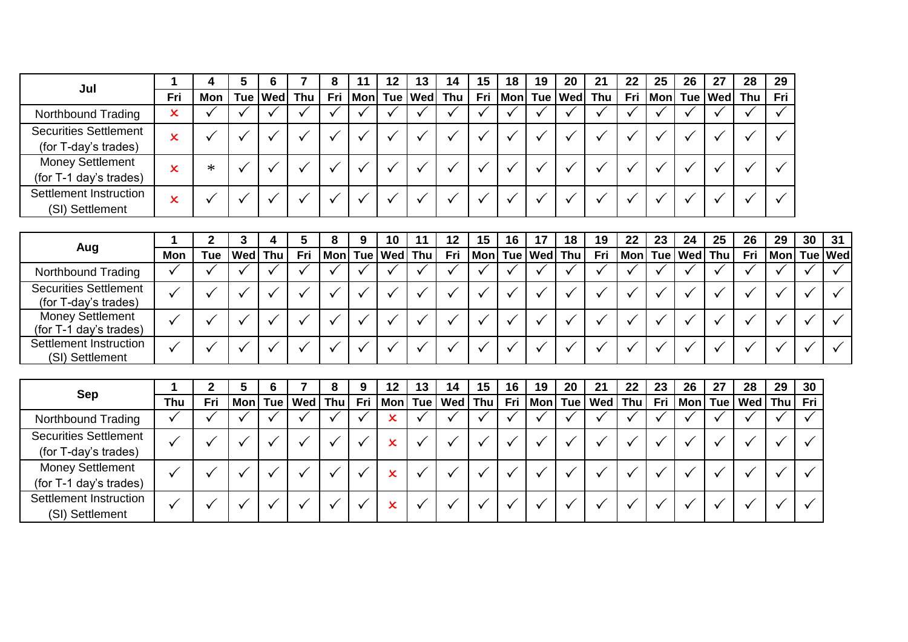| Jul                                                  |        |     | ь       |     | 8 | 11                   | 12 | 13 | 14  | 15 | 18 | 19 | 20 | 21                        | 22  | 25 | 26 | 27 | 28              | 29  |
|------------------------------------------------------|--------|-----|---------|-----|---|----------------------|----|----|-----|----|----|----|----|---------------------------|-----|----|----|----|-----------------|-----|
|                                                      | Fri    | Mon | Tue Wed | Thu |   | Fri   Mon  Tue   Wed |    |    | Thu |    |    |    |    | Fri   Mon  Tue   Wed  Thu | Fri |    |    |    | Mon Tue Wed Thu | Fri |
| Northbound Trading                                   | x      |     |         |     |   |                      |    |    |     |    |    |    |    |                           |     |    |    |    |                 |     |
| <b>Securities Settlement</b><br>(for T-day's trades) | u<br>ᄉ |     |         |     |   |                      |    |    |     |    |    |    |    |                           |     |    |    |    |                 |     |
| <b>Money Settlement</b><br>(for T-1 day's trades)    | x      | ∗   |         |     |   |                      |    |    |     |    |    |    |    |                           |     |    |    |    |                 |     |
| Settlement Instruction<br>(SI) Settlement            | v<br>ᄉ |     |         |     |   |                      |    |    |     |    |    |    |    |                           |     |    |    |    |                 |     |

|                                                      |     |     | J              |     | 8                   | 10 | 12  | 15 | 16 | 17                  | 18 | 19  | 22         | 23 | 24              | 25 | 26  | 29             | 30 | 31 |
|------------------------------------------------------|-----|-----|----------------|-----|---------------------|----|-----|----|----|---------------------|----|-----|------------|----|-----------------|----|-----|----------------|----|----|
| Aug                                                  | Mon | Tue | <b>Wed</b> Thu | Fri | Mon Tue   Wed   Thu |    | Fri |    |    | Mon Tue   Wed   Thu |    | Fri | <b>Mon</b> |    | Tue   Wed   Thu |    | Fri | Mon  Tue   Wed |    |    |
| Northbound Trading                                   |     |     |                |     |                     |    |     |    |    |                     |    |     |            |    |                 |    |     |                |    |    |
| <b>Securities Settlement</b><br>(for T-day's trades) |     |     |                |     |                     |    |     |    |    |                     |    |     |            |    |                 |    |     |                |    |    |
| <b>Money Settlement</b><br>(for T-1 day's trades)    |     |     |                |     |                     |    |     |    |    |                     |    |     |            |    |                 |    |     |                |    |    |
| Settlement Instruction<br>(SI) Settlement            |     |     |                |     |                     |    |     |    |    |                     |    |     |            |    |                 |    |     |                |    |    |

|                              |            |     |     | b |           | 8   | 9   | 12      | 13 | 14  | 15  | 16  | 19      | 20 | 21             | 22 | 23  | 26      | 27 | 28  | 29         | 30         |
|------------------------------|------------|-----|-----|---|-----------|-----|-----|---------|----|-----|-----|-----|---------|----|----------------|----|-----|---------|----|-----|------------|------------|
| Sep                          | <b>Thu</b> | Fri | Mon |   | Tue   Wed | Thu | Fri | Mon Tue |    | Wed | Thu | Fri | Mon Tue |    | <b>Wed</b> Thu |    | Fri | Mon Tue |    | Wed | <b>Thu</b> | <b>Fri</b> |
| Northbound Trading           |            |     |     |   |           |     |     |         |    |     |     |     |         |    |                |    |     |         |    |     |            |            |
| <b>Securities Settlement</b> |            |     |     |   |           |     |     |         |    |     |     |     |         |    |                |    |     |         |    |     |            |            |
| (for T-day's trades)         |            |     |     |   |           |     |     | ⌒       |    |     |     |     |         |    |                |    |     |         |    |     |            |            |
| <b>Money Settlement</b>      |            |     |     |   |           |     |     |         |    |     |     |     |         |    |                |    |     |         |    |     |            |            |
| (for T-1 day's trades)       |            |     |     |   |           |     |     | ⌒       |    |     |     |     |         |    |                |    |     |         |    |     |            |            |
| Settlement Instruction       |            |     |     |   |           |     |     | v       |    |     |     |     |         |    |                |    |     |         |    |     |            |            |
| (SI) Settlement              |            |     |     |   |           |     |     |         |    |     |     |     |         |    |                |    |     |         |    |     |            |            |